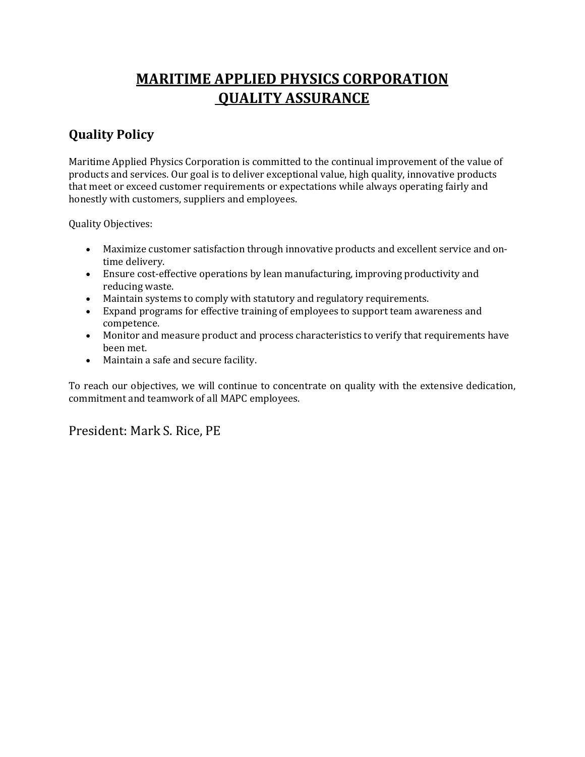## **MARITIME APPLIED PHYSICS CORPORATION QUALITY ASSURANCE**

## **Quality Policy**

Maritime Applied Physics Corporation is committed to the continual improvement of the value of products and services. Our goal is to deliver exceptional value, high quality, innovative products that meet or exceed customer requirements or expectations while always operating fairly and honestly with customers, suppliers and employees.

Quality Objectives:

- Maximize customer satisfaction through innovative products and excellent service and ontime delivery.
- Ensure cost-effective operations by lean manufacturing, improving productivity and reducing waste.
- Maintain systems to comply with statutory and regulatory requirements.
- Expand programs for effective training of employees to support team awareness and competence.
- Monitor and measure product and process characteristics to verify that requirements have been met.
- Maintain a safe and secure facility.

To reach our objectives, we will continue to concentrate on quality with the extensive dedication, commitment and teamwork of all MAPC employees.

President: Mark S. Rice, PE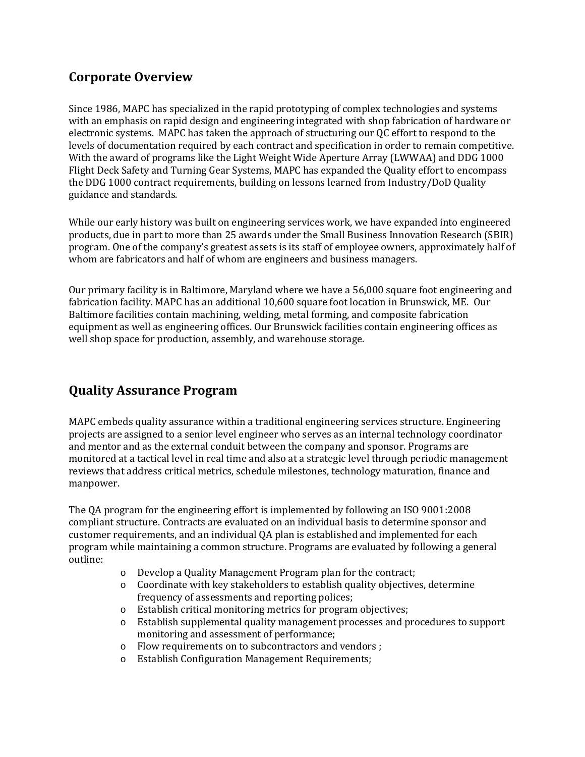## **Corporate Overview**

Since 1986, MAPC has specialized in the rapid prototyping of complex technologies and systems with an emphasis on rapid design and engineering integrated with shop fabrication of hardware or electronic systems. MAPC has taken the approach of structuring our QC effort to respond to the levels of documentation required by each contract and specification in order to remain competitive. With the award of programs like the Light Weight Wide Aperture Array (LWWAA) and DDG 1000 Flight Deck Safety and Turning Gear Systems, MAPC has expanded the Quality effort to encompass the DDG 1000 contract requirements, building on lessons learned from Industry/DoD Quality guidance and standards.

While our early history was built on engineering services work, we have expanded into engineered products, due in part to more than 25 awards under the Small Business Innovation Research (SBIR) program. One of the company's greatest assets is its staff of employee owners, approximately half of whom are fabricators and half of whom are engineers and business managers.

Our primary facility is in Baltimore, Maryland where we have a 56,000 square foot engineering and fabrication facility. MAPC has an additional 10,600 square foot location in Brunswick, ME. Our Baltimore facilities contain machining, welding, metal forming, and composite fabrication equipment as well as engineering offices. Our Brunswick facilities contain engineering offices as well shop space for production, assembly, and warehouse storage.

## **Quality Assurance Program**

MAPC embeds quality assurance within a traditional engineering services structure. Engineering projects are assigned to a senior level engineer who serves as an internal technology coordinator and mentor and as the external conduit between the company and sponsor. Programs are monitored at a tactical level in real time and also at a strategic level through periodic management reviews that address critical metrics, schedule milestones, technology maturation, finance and manpower.

The QA program for the engineering effort is implemented by following an ISO 9001:2008 compliant structure. Contracts are evaluated on an individual basis to determine sponsor and customer requirements, and an individual QA plan is established and implemented for each program while maintaining a common structure. Programs are evaluated by following a general outline:

- o Develop a Quality Management Program plan for the contract;<br>
o Coordinate with key stakeholders to establish quality objective
- o Coordinate with key stakeholders to establish quality objectives, determine frequency of assessments and reporting polices;
- $\circ$  Establish critical monitoring metrics for program objectives;<br> $\circ$  Establish supplemental quality management processes and p
- Establish supplemental quality management processes and procedures to support monitoring and assessment of performance;
- o Flow requirements on to subcontractors and vendors ;<br>
o Establish Configuration Management Requirements:
- Establish Configuration Management Requirements;